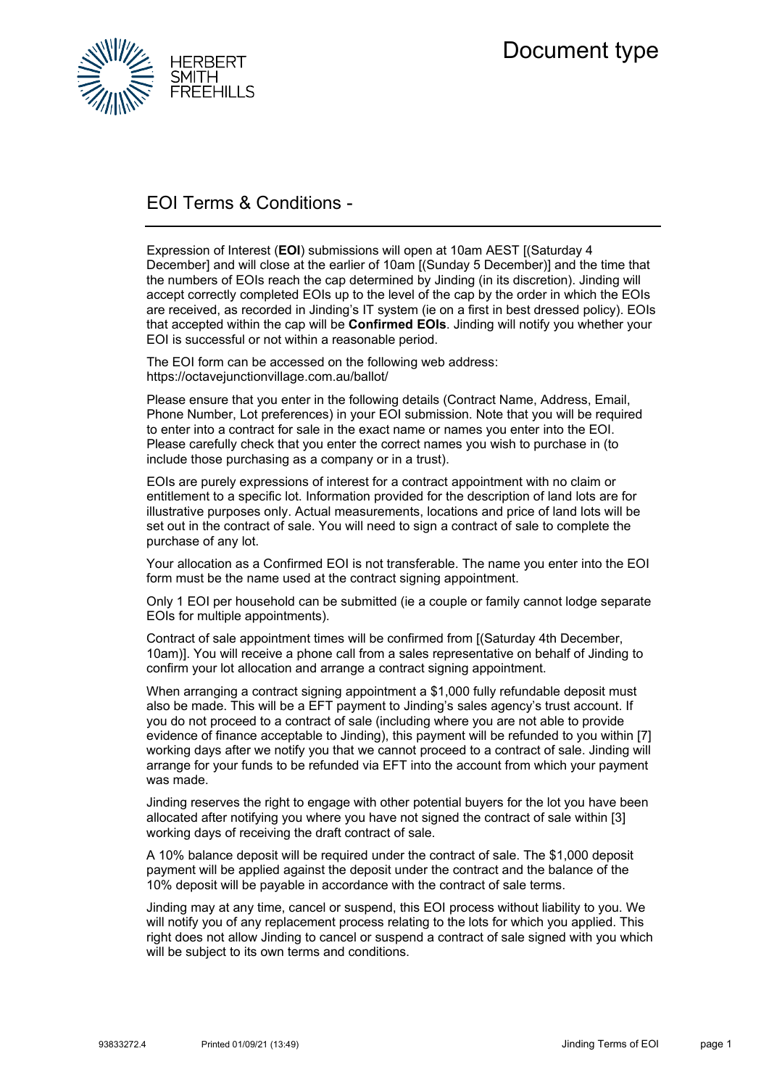

## EOI Terms & Conditions -

Expression of Interest (**EOI**) submissions will open at 10am AEST [(Saturday 4 December] and will close at the earlier of 10am [(Sunday 5 December)] and the time that the numbers of EOIs reach the cap determined by Jinding (in its discretion). Jinding will accept correctly completed EOIs up to the level of the cap by the order in which the EOIs are received, as recorded in Jinding's IT system (ie on a first in best dressed policy). EOIs that accepted within the cap will be **Confirmed EOIs**. Jinding will notify you whether your EOI is successful or not within a reasonable period.

The EOI form can be accessed on the following web address: https://octavejunctionvillage.com.au/ballot/

Please ensure that you enter in the following details (Contract Name, Address, Email, Phone Number, Lot preferences) in your EOI submission. Note that you will be required to enter into a contract for sale in the exact name or names you enter into the EOI. Please carefully check that you enter the correct names you wish to purchase in (to include those purchasing as a company or in a trust).

EOIs are purely expressions of interest for a contract appointment with no claim or entitlement to a specific lot. Information provided for the description of land lots are for illustrative purposes only. Actual measurements, locations and price of land lots will be set out in the contract of sale. You will need to sign a contract of sale to complete the purchase of any lot.

Your allocation as a Confirmed EOI is not transferable. The name you enter into the EOI form must be the name used at the contract signing appointment.

Only 1 EOI per household can be submitted (ie a couple or family cannot lodge separate EOIs for multiple appointments).

Contract of sale appointment times will be confirmed from [(Saturday 4th December, 10am)]. You will receive a phone call from a sales representative on behalf of Jinding to confirm your lot allocation and arrange a contract signing appointment.

When arranging a contract signing appointment a \$1,000 fully refundable deposit must also be made. This will be a EFT payment to Jinding's sales agency's trust account. If you do not proceed to a contract of sale (including where you are not able to provide evidence of finance acceptable to Jinding), this payment will be refunded to you within [7] working days after we notify you that we cannot proceed to a contract of sale. Jinding will arrange for your funds to be refunded via EFT into the account from which your payment was made.

Jinding reserves the right to engage with other potential buyers for the lot you have been allocated after notifying you where you have not signed the contract of sale within [3] working days of receiving the draft contract of sale.

A 10% balance deposit will be required under the contract of sale. The \$1,000 deposit payment will be applied against the deposit under the contract and the balance of the 10% deposit will be payable in accordance with the contract of sale terms.

Jinding may at any time, cancel or suspend, this EOI process without liability to you. We will notify you of any replacement process relating to the lots for which you applied. This right does not allow Jinding to cancel or suspend a contract of sale signed with you which will be subject to its own terms and conditions.